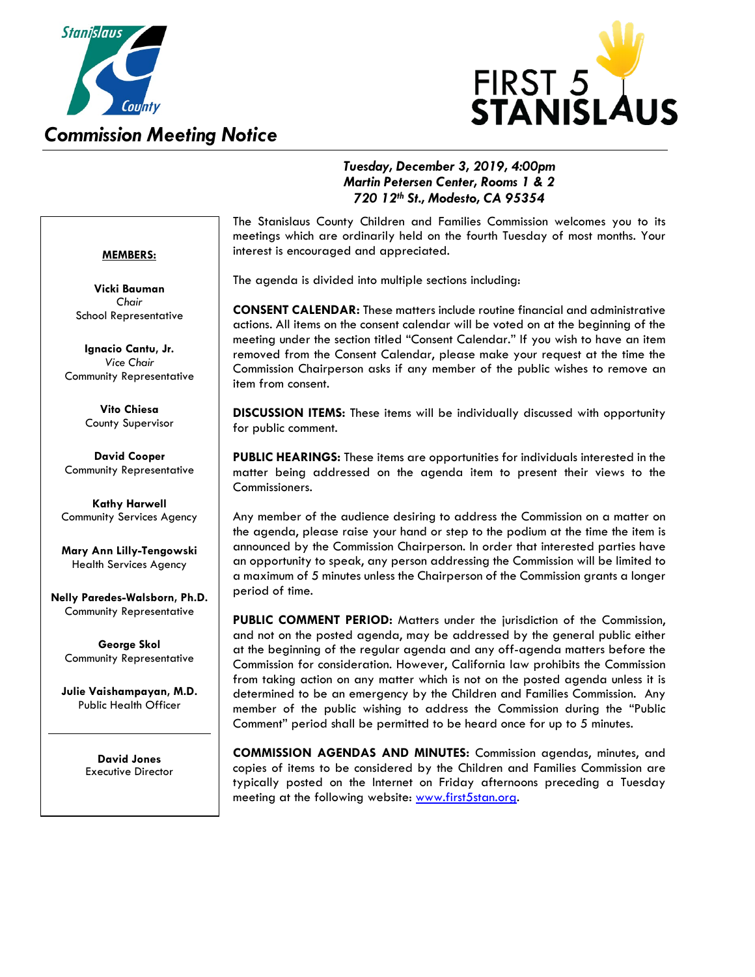



## *Tuesday, December 3, 2019, 4:00pm Martin Petersen Center, Rooms 1 & 2 720 12th St., Modesto, CA 95354*

### **MEMBERS:**

**Vicki Bauman** *Chair* School Representative

**Ignacio Cantu, Jr.** *Vice Chair* Community Representative

> **Vito Chiesa** County Supervisor

**David Cooper** Community Representative

**Kathy Harwell** Community Services Agency

**Mary Ann Lilly-Tengowski** Health Services Agency

**Nelly Paredes-Walsborn, Ph.D.** Community Representative

**George Skol** Community Representative

**Julie Vaishampayan, M.D.** Public Health Officer

> **David Jones** Executive Director

The Stanislaus County Children and Families Commission welcomes you to its meetings which are ordinarily held on the fourth Tuesday of most months. Your interest is encouraged and appreciated.

The agenda is divided into multiple sections including:

**CONSENT CALENDAR:** These matters include routine financial and administrative actions. All items on the consent calendar will be voted on at the beginning of the meeting under the section titled "Consent Calendar." If you wish to have an item removed from the Consent Calendar, please make your request at the time the Commission Chairperson asks if any member of the public wishes to remove an item from consent.

**DISCUSSION ITEMS:** These items will be individually discussed with opportunity for public comment.

**PUBLIC HEARINGS:** These items are opportunities for individuals interested in the matter being addressed on the agenda item to present their views to the Commissioners.

Any member of the audience desiring to address the Commission on a matter on the agenda, please raise your hand or step to the podium at the time the item is announced by the Commission Chairperson. In order that interested parties have an opportunity to speak, any person addressing the Commission will be limited to a maximum of 5 minutes unless the Chairperson of the Commission grants a longer period of time.

**PUBLIC COMMENT PERIOD:** Matters under the jurisdiction of the Commission, and not on the posted agenda, may be addressed by the general public either at the beginning of the regular agenda and any off-agenda matters before the Commission for consideration. However, California law prohibits the Commission from taking action on any matter which is not on the posted agenda unless it is determined to be an emergency by the Children and Families Commission. Any member of the public wishing to address the Commission during the "Public Comment" period shall be permitted to be heard once for up to 5 minutes.

**COMMISSION AGENDAS AND MINUTES:** Commission agendas, minutes, and copies of items to be considered by the Children and Families Commission are typically posted on the Internet on Friday afternoons preceding a Tuesday meeting at the following website: [www.first5stan.org.](http://www.first5stan.org/)